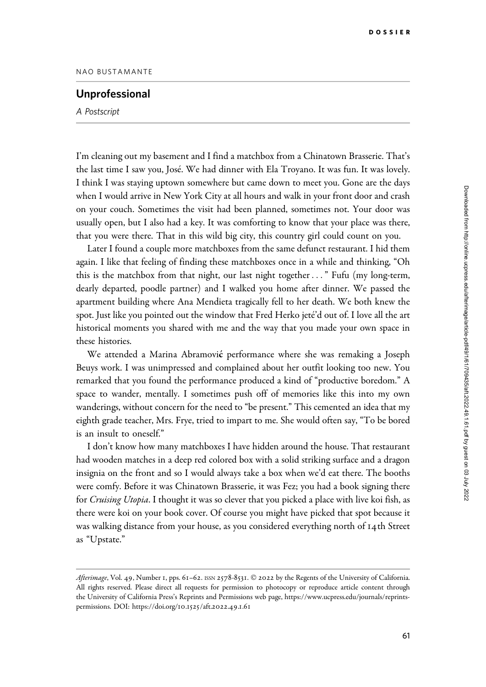## Unprofessional

A Postscript

I'm cleaning out my basement and I find a matchbox from a Chinatown Brasserie. That's the last time I saw you, José. We had dinner with Ela Troyano. It was fun. It was lovely. I think I was staying uptown somewhere but came down to meet you. Gone are the days when I would arrive in New York City at all hours and walk in your front door and crash on your couch. Sometimes the visit had been planned, sometimes not. Your door was usually open, but I also had a key. It was comforting to know that your place was there, that you were there. That in this wild big city, this country girl could count on you.

Later I found a couple more matchboxes from the same defunct restaurant. I hid them again. I like that feeling of finding these matchboxes once in a while and thinking, "Oh this is the matchbox from that night, our last night together..." Fufu (my long-term, dearly departed, poodle partner) and I walked you home after dinner. We passed the apartment building where Ana Mendieta tragically fell to her death. We both knew the spot. Just like you pointed out the window that Fred Herko jete´'d out of. I love all the art historical moments you shared with me and the way that you made your own space in these histories.

We attended a Marina Abramović performance where she was remaking a Joseph Beuys work. I was unimpressed and complained about her outfit looking too new. You remarked that you found the performance produced a kind of "productive boredom." A space to wander, mentally. I sometimes push off of memories like this into my own wanderings, without concern for the need to "be present." This cemented an idea that my eighth grade teacher, Mrs. Frye, tried to impart to me. She would often say, "To be bored is an insult to oneself."

I don't know how many matchboxes I have hidden around the house. That restaurant had wooden matches in a deep red colored box with a solid striking surface and a dragon insignia on the front and so I would always take a box when we'd eat there. The booths were comfy. Before it was Chinatown Brasserie, it was Fez; you had a book signing there for Cruising Utopia. I thought it was so clever that you picked a place with live koi fish, as there were koi on your book cover. Of course you might have picked that spot because it was walking distance from your house, as you considered everything north of 14th Street as "Upstate."

Afterimage, Vol. 49, Number 1, pps. 61-62. ISSN 2578-8531. © 2022 by the Regents of the University of California. All rights reserved. Please direct all requests for permission to photocopy or reproduce article content through the University of California Press's Reprints and Permissions web page, [https://www.ucpress.edu/journals/reprints](https://www.ucpress.edu/journals/reprints-permissions)[permissions.](https://www.ucpress.edu/journals/reprints-permissions) [DOI: https://doi.org/](https://doi.org/10.1525/aft.2022.49.1.61)10.1525/aft.2022.49.1.61